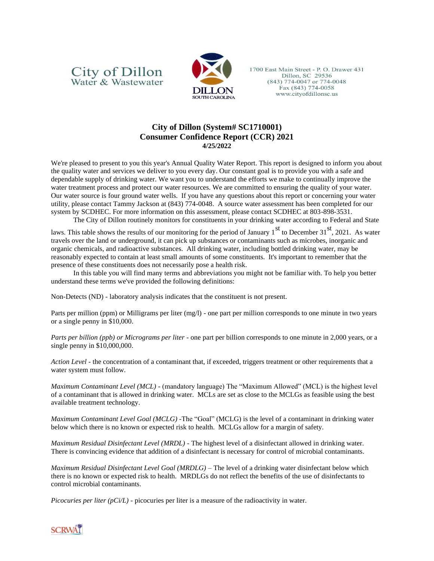## City of Dillon<br>Water & Wastewater



1700 East Main Street - P. O. Drawer 431 Dillon, SC 29536  $(843)$  774-0047 or 774-0048 Fax (843) 774-0058 www.cityofdillonsc.us

## **City of Dillon (System# SC1710001) Consumer Confidence Report (CCR) 2021 4/25/2022**

We're pleased to present to you this year's Annual Quality Water Report. This report is designed to inform you about the quality water and services we deliver to you every day. Our constant goal is to provide you with a safe and dependable supply of drinking water. We want you to understand the efforts we make to continually improve the water treatment process and protect our water resources. We are committed to ensuring the quality of your water. Our water source is four ground water wells. If you have any questions about this report or concerning your water utility, please contact Tammy Jackson at (843) 774-0048. A source water assessment has been completed for our system by SCDHEC. For more information on this assessment, please contact SCDHEC at 803-898-3531.

The City of Dillon routinely monitors for constituents in your drinking water according to Federal and State

laws. This table shows the results of our monitoring for the period of January  $1<sup>st</sup>$  to December 31 $<sup>st</sup>$ , 2021. As water</sup> travels over the land or underground, it can pick up substances or contaminants such as microbes, inorganic and organic chemicals, and radioactive substances. All drinking water, including bottled drinking water, may be reasonably expected to contain at least small amounts of some constituents. It's important to remember that the presence of these constituents does not necessarily pose a health risk.

In this table you will find many terms and abbreviations you might not be familiar with. To help you better understand these terms we've provided the following definitions:

Non-Detects (ND) - laboratory analysis indicates that the constituent is not present.

Parts per million (ppm) or Milligrams per liter (mg/l) - one part per million corresponds to one minute in two years or a single penny in \$10,000.

*Parts per billion (ppb) or Micrograms per liter* - one part per billion corresponds to one minute in 2,000 years, or a single penny in \$10,000,000.

*Action Level* - the concentration of a contaminant that, if exceeded, triggers treatment or other requirements that a water system must follow.

*Maximum Contaminant Level (MCL)* - (mandatory language) The "Maximum Allowed" (MCL) is the highest level of a contaminant that is allowed in drinking water. MCLs are set as close to the MCLGs as feasible using the best available treatment technology.

*Maximum Contaminant Level Goal (MCLG)* -The "Goal" (MCLG) is the level of a contaminant in drinking water below which there is no known or expected risk to health. MCLGs allow for a margin of safety.

*Maximum Residual Disinfectant Level (MRDL)* - The highest level of a disinfectant allowed in drinking water. There is convincing evidence that addition of a disinfectant is necessary for control of microbial contaminants.

*Maximum Residual Disinfectant Level Goal (MRDLG)* – The level of a drinking water disinfectant below which there is no known or expected risk to health. MRDLGs do not reflect the benefits of the use of disinfectants to control microbial contaminants.

*Picocuries per liter (pCi/L)* - picocuries per liter is a measure of the radioactivity in water.

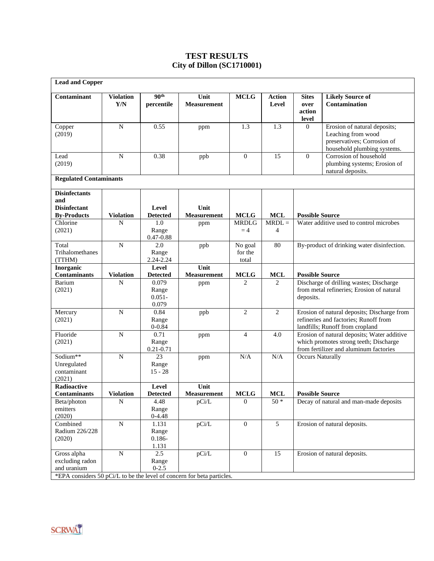## **TEST RESULTS City of Dillon (SC1710001)**

| <b>Lead and Copper</b>                             |                         |                                                         |                                                                                 |                               |                            |                                                                                                                                 |                                                                                                                  |
|----------------------------------------------------|-------------------------|---------------------------------------------------------|---------------------------------------------------------------------------------|-------------------------------|----------------------------|---------------------------------------------------------------------------------------------------------------------------------|------------------------------------------------------------------------------------------------------------------|
| Contaminant                                        | <b>Violation</b><br>Y/N | 90 <sup>th</sup><br>percentile                          | Unit<br><b>Measurement</b>                                                      | <b>MCLG</b>                   | <b>Action</b><br>Level     | <b>Sites</b><br>over<br>action<br>level                                                                                         | <b>Likely Source of</b><br>Contamination                                                                         |
| Copper<br>(2019)                                   | N                       | 0.55                                                    | ppm                                                                             | 1.3                           | 1.3                        | $\overline{0}$                                                                                                                  | Erosion of natural deposits;<br>Leaching from wood<br>preservatives; Corrosion of<br>household plumbing systems. |
| Lead<br>(2019)                                     | N                       | 0.38                                                    | ppb                                                                             | $\theta$                      | 15                         | $\Omega$                                                                                                                        | Corrosion of household<br>plumbing systems; Erosion of<br>natural deposits.                                      |
| <b>Regulated Contaminants</b>                      |                         |                                                         |                                                                                 |                               |                            |                                                                                                                                 |                                                                                                                  |
| <b>Disinfectants</b><br>and<br><b>Disinfectant</b> |                         | Level                                                   | Unit                                                                            |                               |                            |                                                                                                                                 |                                                                                                                  |
| <b>By-Products</b>                                 | <b>Violation</b>        | <b>Detected</b>                                         | <b>Measurement</b>                                                              | <b>MCLG</b>                   | <b>MCL</b>                 | <b>Possible Source</b>                                                                                                          |                                                                                                                  |
| Chlorine<br>(2021)                                 | N                       | 1.0<br>Range<br>$0.47 - 0.88$                           | ppm                                                                             | <b>MRDLG</b><br>$=4$          | $MRDL =$<br>$\overline{4}$ | Water additive used to control microbes                                                                                         |                                                                                                                  |
| Total<br>Trihalomethanes<br>(TTHM)                 | N                       | 2.0<br>Range<br>2.24-2.24                               | ppb                                                                             | No goal<br>for the<br>total   | 80                         | By-product of drinking water disinfection.                                                                                      |                                                                                                                  |
| Inorganic<br><b>Contaminants</b>                   |                         | Level                                                   | Unit<br><b>Measurement</b>                                                      |                               |                            | <b>Possible Source</b>                                                                                                          |                                                                                                                  |
| Barium<br>(2021)                                   | <b>Violation</b><br>N   | <b>Detected</b><br>0.079<br>Range<br>$0.051 -$<br>0.079 | ppm                                                                             | <b>MCLG</b><br>2              | <b>MCL</b><br>2            | Discharge of drilling wastes; Discharge<br>from metal refineries; Erosion of natural<br>deposits.                               |                                                                                                                  |
| Mercury<br>(2021)                                  | $\mathbf N$             | 0.84<br>Range<br>$0 - 0.84$                             | ppb                                                                             | $\overline{2}$                | $\overline{2}$             | Erosion of natural deposits; Discharge from<br>refineries and factories; Runoff from<br>landfills; Runoff from cropland         |                                                                                                                  |
| Fluoride<br>(2021)                                 | N                       | 0.71<br>Range<br>$0.21 - 0.71$                          | ppm                                                                             | $\overline{4}$                | 4.0                        | Erosion of natural deposits; Water additive<br>which promotes strong teeth; Discharge<br>from fertilizer and aluminum factories |                                                                                                                  |
| Sodium**<br>Unregulated<br>contaminant<br>(2021)   | ${\bf N}$               | 23<br>Range<br>$15 - 28$                                | ppm                                                                             | N/A                           | N/A                        | <b>Occurs Naturally</b>                                                                                                         |                                                                                                                  |
| Radioactive                                        |                         | Level<br><b>Detected</b>                                | Unit                                                                            |                               |                            |                                                                                                                                 |                                                                                                                  |
| <b>Contaminants</b><br>Beta/photon                 | <b>Violation</b><br>N   | 4.48                                                    | Measurement<br>pCi/L                                                            | <b>MCLG</b><br>$\overline{0}$ | <b>MCL</b><br>$50*$        | <b>Possible Source</b>                                                                                                          | Decay of natural and man-made deposits                                                                           |
| emitters<br>(2020)                                 |                         | Range<br>$0 - 4.48$                                     |                                                                                 |                               |                            |                                                                                                                                 |                                                                                                                  |
| Combined<br>Radium 226/228<br>(2020)               | ${\bf N}$               | 1.131<br>Range<br>$0.186 -$<br>1.131                    | pCi/L                                                                           | $\overline{0}$                | 5                          | Erosion of natural deposits.                                                                                                    |                                                                                                                  |
| Gross alpha<br>excluding radon<br>and uranium      | ${\bf N}$               | 2.5<br>Range<br>$0-2.5$                                 | pCi/L<br>*EPA considers 50 pCi/L to be the level of concern for beta particles. | $\boldsymbol{0}$              | 15                         |                                                                                                                                 | Erosion of natural deposits.                                                                                     |